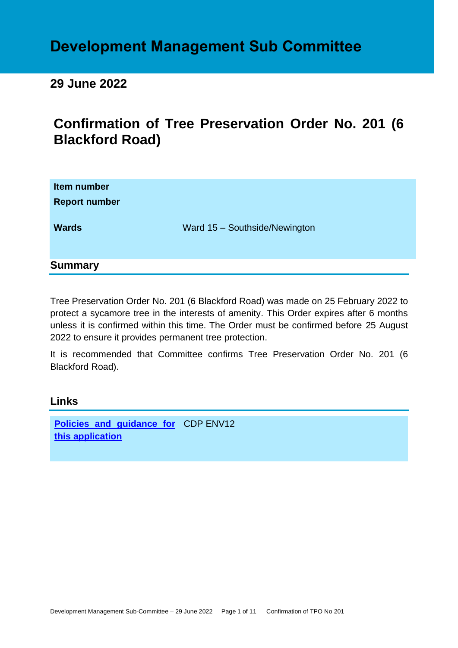# **Development Management Sub Committee**

# **29 June 2022**

# **Confirmation of Tree Preservation Order No. 201 (6 Blackford Road)**

| Item number<br><b>Report number</b> |                               |
|-------------------------------------|-------------------------------|
| <b>Wards</b>                        | Ward 15 - Southside/Newington |
| <b>Summary</b>                      |                               |

Tree Preservation Order No. 201 (6 Blackford Road) was made on 25 February 2022 to protect a sycamore tree in the interests of amenity. This Order expires after 6 months unless it is confirmed within this time. The Order must be confirmed before 25 August 2022 to ensure it provides permanent tree protection.

It is recommended that Committee confirms Tree Preservation Order No. 201 (6 Blackford Road).

# **Links**

**[Policies and guidance for](file:///C:/uniform/temp/uf04148.rtf%23Policies)**  CDP ENV12 **[this application](file:///C:/uniform/temp/uf04148.rtf%23Policies)**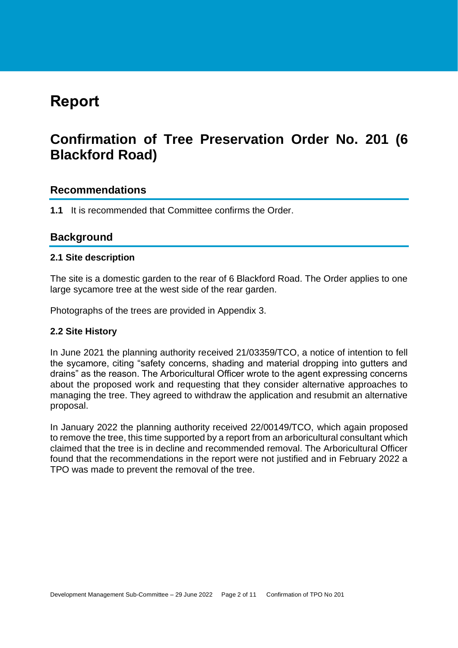# **Report**

# **Confirmation of Tree Preservation Order No. 201 (6 Blackford Road)**

# **Recommendations**

**1.1** It is recommended that Committee confirms the Order.

# **Background**

### **2.1 Site description**

The site is a domestic garden to the rear of 6 Blackford Road. The Order applies to one large sycamore tree at the west side of the rear garden.

Photographs of the trees are provided in Appendix 3.

## **2.2 Site History**

In June 2021 the planning authority received 21/03359/TCO, a notice of intention to fell the sycamore, citing "safety concerns, shading and material dropping into gutters and drains" as the reason. The Arboricultural Officer wrote to the agent expressing concerns about the proposed work and requesting that they consider alternative approaches to managing the tree. They agreed to withdraw the application and resubmit an alternative proposal.

In January 2022 the planning authority received 22/00149/TCO, which again proposed to remove the tree, this time supported by a report from an arboricultural consultant which claimed that the tree is in decline and recommended removal. The Arboricultural Officer found that the recommendations in the report were not justified and in February 2022 a TPO was made to prevent the removal of the tree.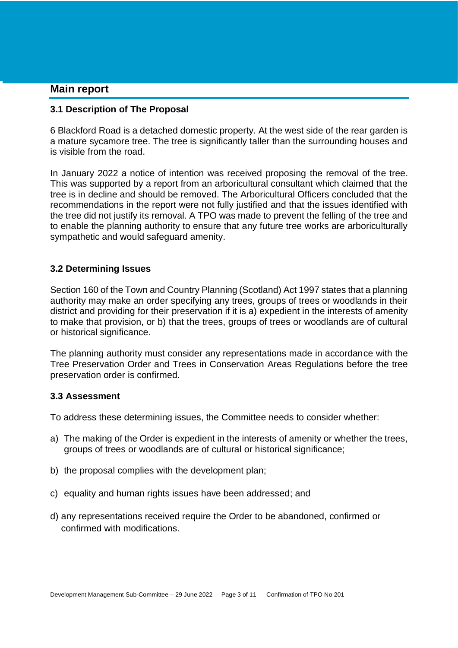## **Main report**

#### **3.1 Description of The Proposal**

6 Blackford Road is a detached domestic property. At the west side of the rear garden is a mature sycamore tree. The tree is significantly taller than the surrounding houses and is visible from the road.

In January 2022 a notice of intention was received proposing the removal of the tree. This was supported by a report from an arboricultural consultant which claimed that the tree is in decline and should be removed. The Arboricultural Officers concluded that the recommendations in the report were not fully justified and that the issues identified with the tree did not justify its removal. A TPO was made to prevent the felling of the tree and to enable the planning authority to ensure that any future tree works are arboriculturally sympathetic and would safeguard amenity.

### **3.2 Determining Issues**

Section 160 of the Town and Country Planning (Scotland) Act 1997 states that a planning authority may make an order specifying any trees, groups of trees or woodlands in their district and providing for their preservation if it is a) expedient in the interests of amenity to make that provision, or b) that the trees, groups of trees or woodlands are of cultural or historical significance.

The planning authority must consider any representations made in accordance with the Tree Preservation Order and Trees in Conservation Areas Regulations before the tree preservation order is confirmed.

#### **3.3 Assessment**

To address these determining issues, the Committee needs to consider whether:

- a) The making of the Order is expedient in the interests of amenity or whether the trees, groups of trees or woodlands are of cultural or historical significance;
- b) the proposal complies with the development plan;
- c) equality and human rights issues have been addressed; and
- d) any representations received require the Order to be abandoned, confirmed or confirmed with modifications.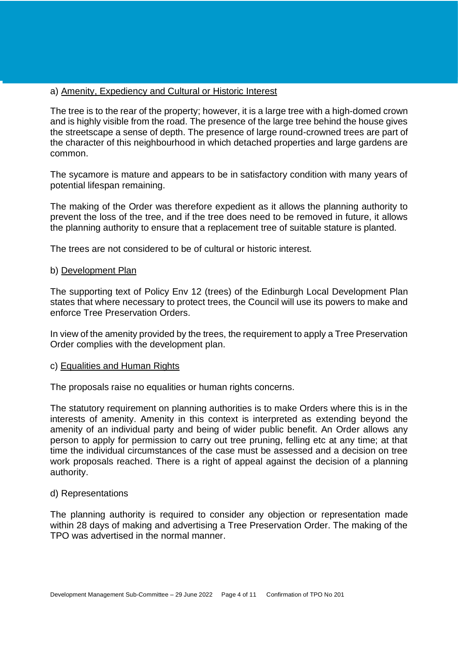#### a) Amenity, Expediency and Cultural or Historic Interest

The tree is to the rear of the property; however, it is a large tree with a high-domed crown and is highly visible from the road. The presence of the large tree behind the house gives the streetscape a sense of depth. The presence of large round-crowned trees are part of the character of this neighbourhood in which detached properties and large gardens are common.

The sycamore is mature and appears to be in satisfactory condition with many years of potential lifespan remaining.

The making of the Order was therefore expedient as it allows the planning authority to prevent the loss of the tree, and if the tree does need to be removed in future, it allows the planning authority to ensure that a replacement tree of suitable stature is planted.

The trees are not considered to be of cultural or historic interest.

#### b) Development Plan

The supporting text of Policy Env 12 (trees) of the Edinburgh Local Development Plan states that where necessary to protect trees, the Council will use its powers to make and enforce Tree Preservation Orders.

In view of the amenity provided by the trees, the requirement to apply a Tree Preservation Order complies with the development plan.

#### c) Equalities and Human Rights

The proposals raise no equalities or human rights concerns.

The statutory requirement on planning authorities is to make Orders where this is in the interests of amenity. Amenity in this context is interpreted as extending beyond the amenity of an individual party and being of wider public benefit. An Order allows any person to apply for permission to carry out tree pruning, felling etc at any time; at that time the individual circumstances of the case must be assessed and a decision on tree work proposals reached. There is a right of appeal against the decision of a planning authority.

#### d) Representations

The planning authority is required to consider any objection or representation made within 28 days of making and advertising a Tree Preservation Order. The making of the TPO was advertised in the normal manner.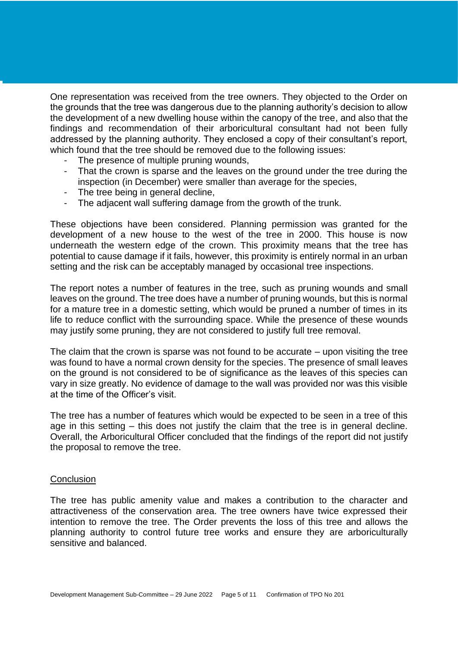One representation was received from the tree owners. They objected to the Order on the grounds that the tree was dangerous due to the planning authority's decision to allow the development of a new dwelling house within the canopy of the tree, and also that the findings and recommendation of their arboricultural consultant had not been fully addressed by the planning authority. They enclosed a copy of their consultant's report, which found that the tree should be removed due to the following issues:

- The presence of multiple pruning wounds,
- That the crown is sparse and the leaves on the ground under the tree during the inspection (in December) were smaller than average for the species,
- The tree being in general decline,
- The adjacent wall suffering damage from the growth of the trunk.

These objections have been considered. Planning permission was granted for the development of a new house to the west of the tree in 2000. This house is now underneath the western edge of the crown. This proximity means that the tree has potential to cause damage if it fails, however, this proximity is entirely normal in an urban setting and the risk can be acceptably managed by occasional tree inspections.

The report notes a number of features in the tree, such as pruning wounds and small leaves on the ground. The tree does have a number of pruning wounds, but this is normal for a mature tree in a domestic setting, which would be pruned a number of times in its life to reduce conflict with the surrounding space. While the presence of these wounds may justify some pruning, they are not considered to justify full tree removal.

The claim that the crown is sparse was not found to be accurate – upon visiting the tree was found to have a normal crown density for the species. The presence of small leaves on the ground is not considered to be of significance as the leaves of this species can vary in size greatly. No evidence of damage to the wall was provided nor was this visible at the time of the Officer's visit.

The tree has a number of features which would be expected to be seen in a tree of this age in this setting – this does not justify the claim that the tree is in general decline. Overall, the Arboricultural Officer concluded that the findings of the report did not justify the proposal to remove the tree.

#### **Conclusion**

The tree has public amenity value and makes a contribution to the character and attractiveness of the conservation area. The tree owners have twice expressed their intention to remove the tree. The Order prevents the loss of this tree and allows the planning authority to control future tree works and ensure they are arboriculturally sensitive and balanced.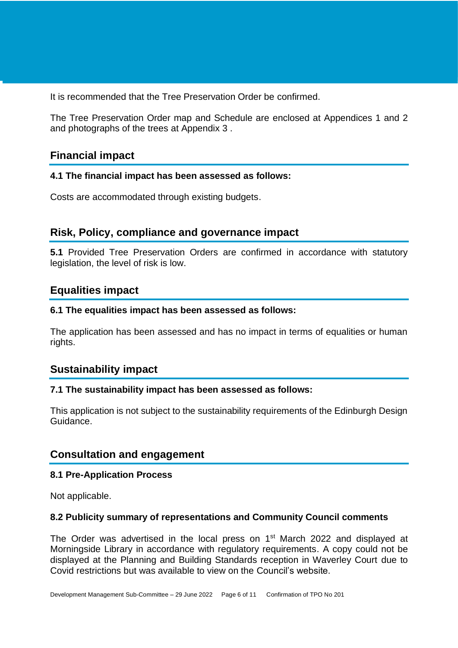It is recommended that the Tree Preservation Order be confirmed.

The Tree Preservation Order map and Schedule are enclosed at Appendices 1 and 2 and photographs of the trees at Appendix 3 .

# **Financial impact**

### **4.1 The financial impact has been assessed as follows:**

Costs are accommodated through existing budgets.

# **Risk, Policy, compliance and governance impact**

**5.1** Provided Tree Preservation Orders are confirmed in accordance with statutory legislation, the level of risk is low.

# **Equalities impact**

### **6.1 The equalities impact has been assessed as follows:**

The application has been assessed and has no impact in terms of equalities or human rights.

# **Sustainability impact**

## **7.1 The sustainability impact has been assessed as follows:**

This application is not subject to the sustainability requirements of the Edinburgh Design Guidance.

# **Consultation and engagement**

## **8.1 Pre-Application Process**

Not applicable.

## **8.2 Publicity summary of representations and Community Council comments**

The Order was advertised in the local press on  $1<sup>st</sup>$  March 2022 and displayed at Morningside Library in accordance with regulatory requirements. A copy could not be displayed at the Planning and Building Standards reception in Waverley Court due to Covid restrictions but was available to view on the Council's website.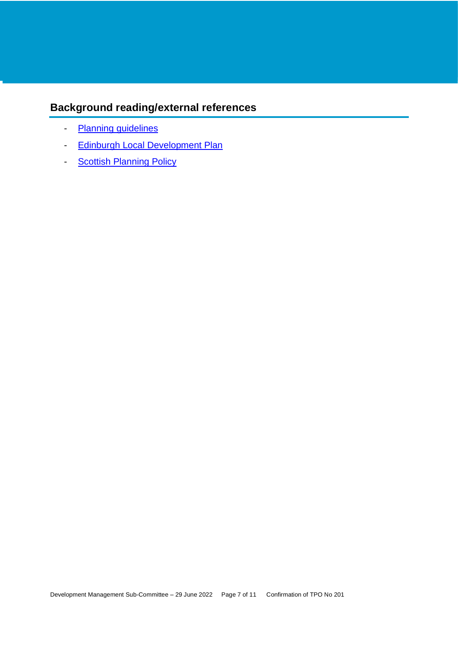# **Background reading/external references**

- [Planning guidelines](http://www.edinburgh.gov.uk/planningguidelines)
- [Edinburgh Local Development Plan](http://www.edinburgh.gov.uk/localdevelopmentplan)
- [Scottish Planning Policy](http://www.scotland.gov.uk/Topics/Built-Environment/planning/Policy)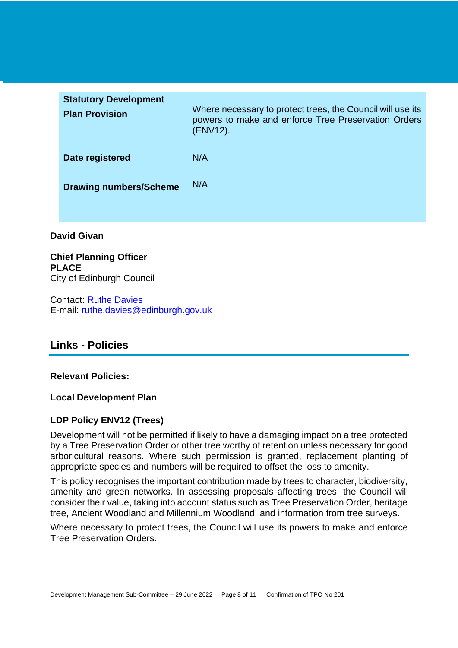| <b>Statutory Development</b><br><b>Plan Provision</b> | Where necessary to protect trees, the Council will use its<br>powers to make and enforce Tree Preservation Orders<br>(ENV12). |
|-------------------------------------------------------|-------------------------------------------------------------------------------------------------------------------------------|
| Date registered                                       | N/A                                                                                                                           |
| <b>Drawing numbers/Scheme</b>                         | N/A                                                                                                                           |
|                                                       |                                                                                                                               |

## **David Givan**

**Chief Planning Officer PLACE** City of Edinburgh Council

Contact: Ruthe Davies E-mail: ruthe.davies@edinburgh.gov.uk

# **Links - Policies**

#### **Relevant Policies:**

#### **Local Development Plan**

## **LDP Policy ENV12 (Trees)**

Development will not be permitted if likely to have a damaging impact on a tree protected by a Tree Preservation Order or other tree worthy of retention unless necessary for good arboricultural reasons. Where such permission is granted, replacement planting of appropriate species and numbers will be required to offset the loss to amenity.

This policy recognises the important contribution made by trees to character, biodiversity, amenity and green networks. In assessing proposals affecting trees, the Council will consider their value, taking into account status such as Tree Preservation Order, heritage tree, Ancient Woodland and Millennium Woodland, and information from tree surveys.

Where necessary to protect trees, the Council will use its powers to make and enforce Tree Preservation Orders.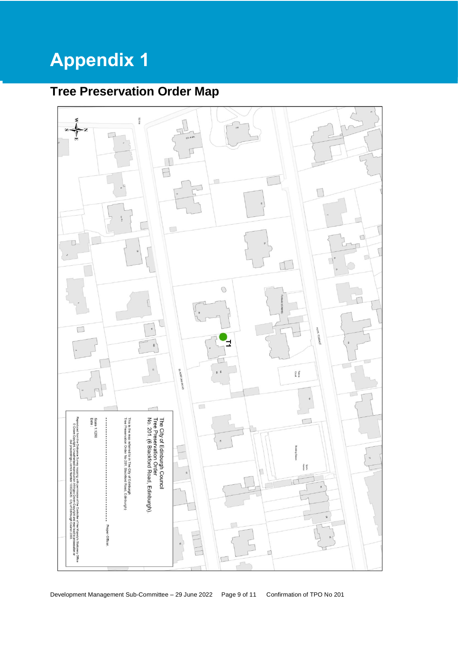# **Appendix 1**

# **Tree Preservation Order Map**

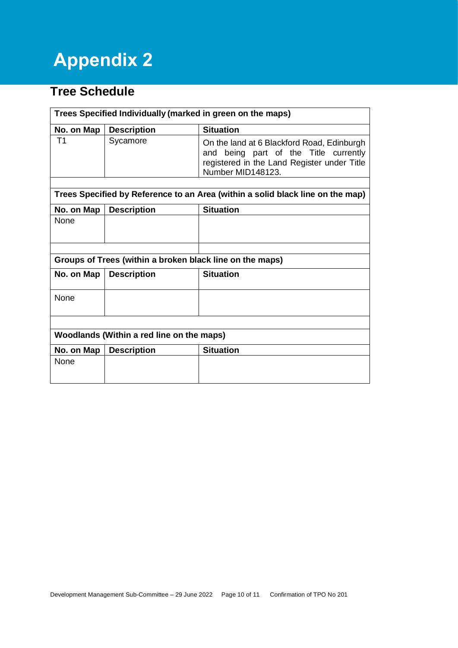# **Appendix 2**

# **Tree Schedule**

| Trees Specified Individually (marked in green on the maps)                     |                    |                                                                                                                                                            |  |
|--------------------------------------------------------------------------------|--------------------|------------------------------------------------------------------------------------------------------------------------------------------------------------|--|
| No. on Map                                                                     | <b>Description</b> | <b>Situation</b>                                                                                                                                           |  |
| Τ1                                                                             | Sycamore           | On the land at 6 Blackford Road, Edinburgh<br>being part of the Title currently<br>and<br>registered in the Land Register under Title<br>Number MID148123. |  |
|                                                                                |                    |                                                                                                                                                            |  |
| Trees Specified by Reference to an Area (within a solid black line on the map) |                    |                                                                                                                                                            |  |
| No. on Map                                                                     | <b>Description</b> | <b>Situation</b>                                                                                                                                           |  |
| None                                                                           |                    |                                                                                                                                                            |  |
|                                                                                |                    |                                                                                                                                                            |  |
| Groups of Trees (within a broken black line on the maps)                       |                    |                                                                                                                                                            |  |
| No. on Map                                                                     | <b>Description</b> | <b>Situation</b>                                                                                                                                           |  |
| None                                                                           |                    |                                                                                                                                                            |  |
|                                                                                |                    |                                                                                                                                                            |  |
| Woodlands (Within a red line on the maps)                                      |                    |                                                                                                                                                            |  |
| No. on Map                                                                     | <b>Description</b> | <b>Situation</b>                                                                                                                                           |  |
| None                                                                           |                    |                                                                                                                                                            |  |